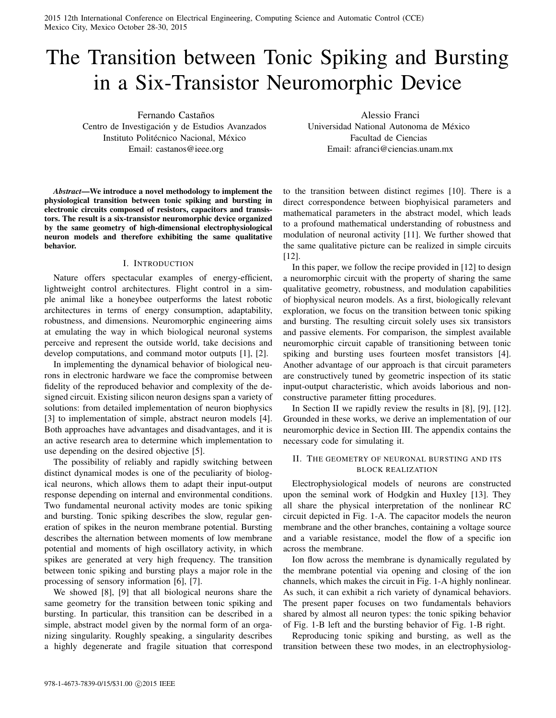2015 12th International Conference on Electrical Engineering, Computing Science and Automatic Control (CCE) Mexico City, Mexico October 28-30, 2015

# The Transition between Tonic Spiking and Bursting in a Six-Transistor Neuromorphic Device

Fernando Castaños Centro de Investigación y de Estudios Avanzados Instituto Politécnico Nacional, México Email: castanos@ieee.org

Alessio Franci Universidad National Autonoma de Mexico ´ Facultad de Ciencias Email: afranci@ciencias.unam.mx

*Abstract*—We introduce a novel methodology to implement the physiological transition between tonic spiking and bursting in electronic circuits composed of resistors, capacitors and transistors. The result is a six-transistor neuromorphic device organized by the same geometry of high-dimensional electrophysiological neuron models and therefore exhibiting the same qualitative behavior.

### I. INTRODUCTION

Nature offers spectacular examples of energy-efficient, lightweight control architectures. Flight control in a simple animal like a honeybee outperforms the latest robotic architectures in terms of energy consumption, adaptability, robustness, and dimensions. Neuromorphic engineering aims at emulating the way in which biological neuronal systems perceive and represent the outside world, take decisions and develop computations, and command motor outputs [1], [2].

In implementing the dynamical behavior of biological neurons in electronic hardware we face the compromise between fidelity of the reproduced behavior and complexity of the designed circuit. Existing silicon neuron designs span a variety of solutions: from detailed implementation of neuron biophysics [3] to implementation of simple, abstract neuron models [4]. Both approaches have advantages and disadvantages, and it is an active research area to determine which implementation to use depending on the desired objective [5].

The possibility of reliably and rapidly switching between distinct dynamical modes is one of the peculiarity of biological neurons, which allows them to adapt their input-output response depending on internal and environmental conditions. Two fundamental neuronal activity modes are tonic spiking and bursting. Tonic spiking describes the slow, regular generation of spikes in the neuron membrane potential. Bursting describes the alternation between moments of low membrane potential and moments of high oscillatory activity, in which spikes are generated at very high frequency. The transition between tonic spiking and bursting plays a major role in the processing of sensory information [6], [7].

We showed [8], [9] that all biological neurons share the same geometry for the transition between tonic spiking and bursting. In particular, this transition can be described in a simple, abstract model given by the normal form of an organizing singularity. Roughly speaking, a singularity describes a highly degenerate and fragile situation that correspond to the transition between distinct regimes [10]. There is a direct correspondence between biophyisical parameters and mathematical parameters in the abstract model, which leads to a profound mathematical understanding of robustness and modulation of neuronal activity [11]. We further showed that the same qualitative picture can be realized in simple circuits [12].

In this paper, we follow the recipe provided in [12] to design a neuromorphic circuit with the property of sharing the same qualitative geometry, robustness, and modulation capabilities of biophysical neuron models. As a first, biologically relevant exploration, we focus on the transition between tonic spiking and bursting. The resulting circuit solely uses six transistors and passive elements. For comparison, the simplest available neuromorphic circuit capable of transitioning between tonic spiking and bursting uses fourteen mosfet transistors [4]. Another advantage of our approach is that circuit parameters are constructively tuned by geometric inspection of its static input-output characteristic, which avoids laborious and nonconstructive parameter fitting procedures.

In Section II we rapidly review the results in [8], [9], [12]. Grounded in these works, we derive an implementation of our neuromorphic device in Section III. The appendix contains the necessary code for simulating it.

## II. THE GEOMETRY OF NEURONAL BURSTING AND ITS BLOCK REALIZATION

Electrophysiological models of neurons are constructed upon the seminal work of Hodgkin and Huxley [13]. They all share the physical interpretation of the nonlinear RC circuit depicted in Fig. 1-A. The capacitor models the neuron membrane and the other branches, containing a voltage source and a variable resistance, model the flow of a specific ion across the membrane.

Ion flow across the membrane is dynamically regulated by the membrane potential via opening and closing of the ion channels, which makes the circuit in Fig. 1-A highly nonlinear. As such, it can exhibit a rich variety of dynamical behaviors. The present paper focuses on two fundamentals behaviors shared by almost all neuron types: the tonic spiking behavior of Fig. 1-B left and the bursting behavior of Fig. 1-B right.

Reproducing tonic spiking and bursting, as well as the transition between these two modes, in an electrophysiolog-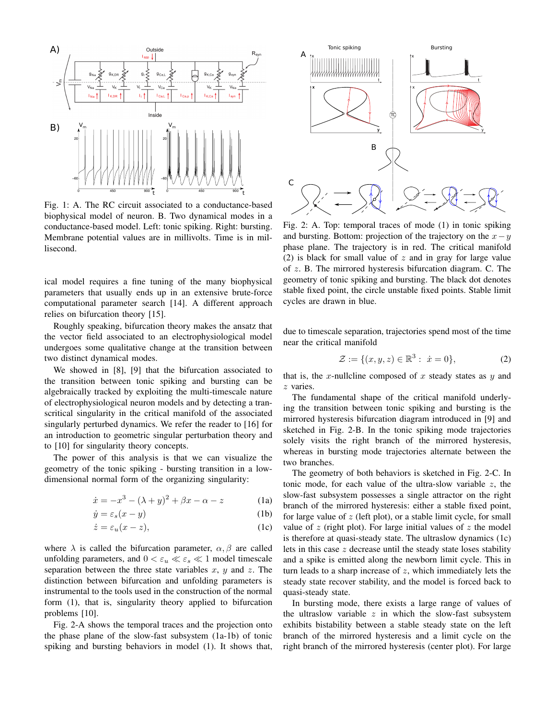

Fig. 1: A. The RC circuit associated to a conductance-based biophysical model of neuron. B. Two dynamical modes in a conductance-based model. Left: tonic spiking. Right: bursting. Membrane potential values are in millivolts. Time is in millisecond.

ical model requires a fine tuning of the many biophysical parameters that usually ends up in an extensive brute-force computational parameter search [14]. A different approach relies on bifurcation theory [15].

Roughly speaking, bifurcation theory makes the ansatz that the vector field associated to an electrophysiological model undergoes some qualitative change at the transition between two distinct dynamical modes.

We showed in [8], [9] that the bifurcation associated to the transition between tonic spiking and bursting can be algebraically tracked by exploiting the multi-timescale nature of electrophysiological neuron models and by detecting a transcritical singularity in the critical manifold of the associated singularly perturbed dynamics. We refer the reader to [16] for an introduction to geometric singular perturbation theory and to [10] for singularity theory concepts.

The power of this analysis is that we can visualize the geometry of the tonic spiking - bursting transition in a lowdimensional normal form of the organizing singularity:

$$
\dot{x} = -x^3 - (\lambda + y)^2 + \beta x - \alpha - z \tag{1a}
$$

$$
\dot{y} = \varepsilon_s (x - y) \tag{1b}
$$

$$
\dot{z} = \varepsilon_u (x - z),\tag{1c}
$$

where  $\lambda$  is called the bifurcation parameter,  $\alpha, \beta$  are called unfolding parameters, and  $0 < \varepsilon_u \ll \varepsilon_s \ll 1$  model timescale separation between the three state variables x,  $y$  and z. The distinction between bifurcation and unfolding parameters is instrumental to the tools used in the construction of the normal form (1), that is, singularity theory applied to bifurcation problems [10].

Fig. 2-A shows the temporal traces and the projection onto the phase plane of the slow-fast subsystem (1a-1b) of tonic spiking and bursting behaviors in model (1). It shows that,



Fig. 2: A. Top: temporal traces of mode (1) in tonic spiking and bursting. Bottom: projection of the trajectory on the  $x-y$ phase plane. The trajectory is in red. The critical manifold (2) is black for small value of  $z$  and in gray for large value of z. B. The mirrored hysteresis bifurcation diagram. C. The geometry of tonic spiking and bursting. The black dot denotes stable fixed point, the circle unstable fixed points. Stable limit cycles are drawn in blue.

due to timescale separation, trajectories spend most of the time near the critical manifold

$$
\mathcal{Z} := \{ (x, y, z) \in \mathbb{R}^3 : \dot{x} = 0 \},\tag{2}
$$

that is, the x-nullcline composed of x steady states as y and z varies.

The fundamental shape of the critical manifold underlying the transition between tonic spiking and bursting is the mirrored hysteresis bifurcation diagram introduced in [9] and sketched in Fig. 2-B. In the tonic spiking mode trajectories solely visits the right branch of the mirrored hysteresis, whereas in bursting mode trajectories alternate between the two branches.

The geometry of both behaviors is sketched in Fig. 2-C. In tonic mode, for each value of the ultra-slow variable  $z$ , the slow-fast subsystem possesses a single attractor on the right branch of the mirrored hysteresis: either a stable fixed point, for large value of  $z$  (left plot), or a stable limit cycle, for small value of  $z$  (right plot). For large initial values of  $z$  the model is therefore at quasi-steady state. The ultraslow dynamics (1c) lets in this case  $z$  decrease until the steady state loses stability and a spike is emitted along the newborn limit cycle. This in turn leads to a sharp increase of  $z$ , which immediately lets the steady state recover stability, and the model is forced back to quasi-steady state.

In bursting mode, there exists a large range of values of the ultraslow variable  $z$  in which the slow-fast subsystem exhibits bistability between a stable steady state on the left branch of the mirrored hysteresis and a limit cycle on the right branch of the mirrored hysteresis (center plot). For large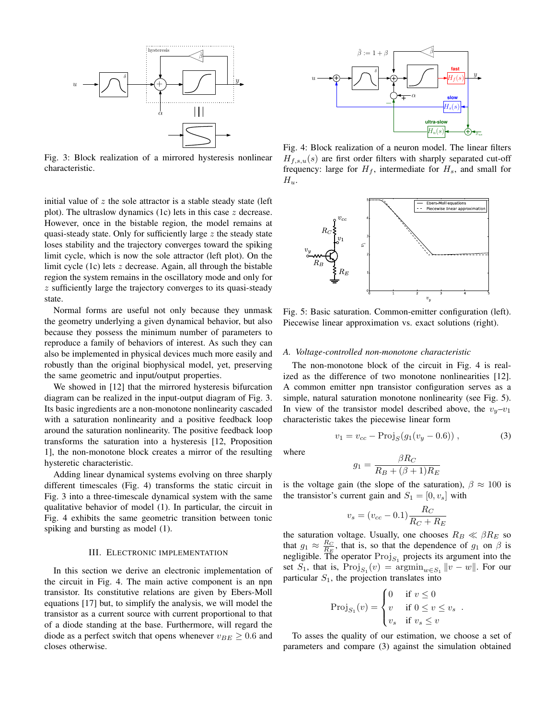

Fig. 3: Block realization of a mirrored hysteresis nonlinear characteristic.

initial value of  $z$  the sole attractor is a stable steady state (left plot). The ultraslow dynamics (1c) lets in this case  $z$  decrease. However, once in the bistable region, the model remains at quasi-steady state. Only for sufficiently large  $z$  the steady state loses stability and the trajectory converges toward the spiking limit cycle, which is now the sole attractor (left plot). On the limit cycle (1c) lets z decrease. Again, all through the bistable region the system remains in the oscillatory mode and only for z sufficiently large the trajectory converges to its quasi-steady state.

Normal forms are useful not only because they unmask the geometry underlying a given dynamical behavior, but also because they possess the minimum number of parameters to reproduce a family of behaviors of interest. As such they can also be implemented in physical devices much more easily and robustly than the original biophysical model, yet, preserving the same geometric and input/output properties.

We showed in [12] that the mirrored hysteresis bifurcation diagram can be realized in the input-output diagram of Fig. 3. Its basic ingredients are a non-monotone nonlinearity cascaded with a saturation nonlinearity and a positive feedback loop around the saturation nonlinearity. The positive feedback loop transforms the saturation into a hysteresis [12, Proposition 1], the non-monotone block creates a mirror of the resulting hysteretic characteristic.

Adding linear dynamical systems evolving on three sharply different timescales (Fig. 4) transforms the static circuit in Fig. 3 into a three-timescale dynamical system with the same qualitative behavior of model (1). In particular, the circuit in Fig. 4 exhibits the same geometric transition between tonic spiking and bursting as model (1).

### III. ELECTRONIC IMPLEMENTATION

In this section we derive an electronic implementation of the circuit in Fig. 4. The main active component is an npn transistor. Its constitutive relations are given by Ebers-Moll equations [17] but, to simplify the analysis, we will model the transistor as a current source with current proportional to that of a diode standing at the base. Furthermore, will regard the diode as a perfect switch that opens whenever  $v_{BE} \ge 0.6$  and closes otherwise.



Fig. 4: Block realization of a neuron model. The linear filters  $H_{f,s,u}(s)$  are first order filters with sharply separated cut-off frequency: large for  $H_f$ , intermediate for  $H_s$ , and small for  $H_u$ .



Fig. 5: Basic saturation. Common-emitter configuration (left). Piecewise linear approximation vs. exact solutions (right).

#### *A. Voltage-controlled non-monotone characteristic*

The non-monotone block of the circuit in Fig. 4 is realized as the difference of two monotone nonlinearities [12]. A common emitter npn transistor configuration serves as a simple, natural saturation monotone nonlinearity (see Fig. 5). In view of the transistor model described above, the  $v_y-v_1$ characteristic takes the piecewise linear form

$$
v_1 = v_{cc} - \text{Proj}_S(g_1(v_y - 0.6)), \tag{3}
$$

where

$$
g_1 = \frac{\beta R_C}{R_B + (\beta + 1)R_E}
$$

is the voltage gain (the slope of the saturation),  $\beta \approx 100$  is the transistor's current gain and  $S_1 = [0, v_s]$  with

$$
v_s = (v_{cc} - 0.1) \frac{R_C}{R_C + R_E}
$$

the saturation voltage. Usually, one chooses  $R_B \ll \beta R_E$  so that  $g_1 \approx \frac{R_C}{R_E}$ , that is, so that the dependence of  $g_1$  on  $\beta$  is negligible. The operator  $Proj_{S_1}$  projects its argument into the set  $S_1$ , that is,  $\text{Proj}_{S_1}(v) = \text{argmin}_{w \in S_1} ||v - w||$ . For our particular  $S_1$ , the projection translates into

$$
\text{Proj}_{S_1}(v) = \begin{cases} 0 & \text{if } v \le 0 \\ v & \text{if } 0 \le v \le v_s \\ v_s & \text{if } v_s \le v \end{cases}
$$

.

To asses the quality of our estimation, we choose a set of parameters and compare (3) against the simulation obtained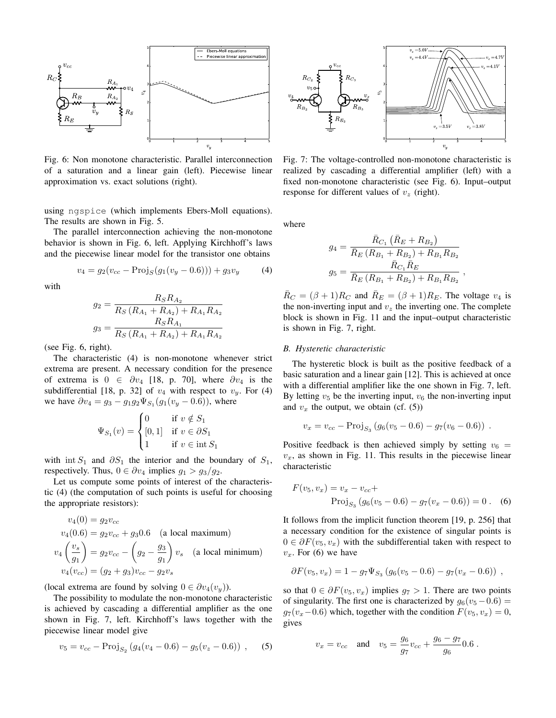

Fig. 6: Non monotone characteristic. Parallel interconnection of a saturation and a linear gain (left). Piecewise linear approximation vs. exact solutions (right).

using ngspice (which implements Ebers-Moll equations). The results are shown in Fig. 5.

The parallel interconnection achieving the non-monotone behavior is shown in Fig. 6, left. Applying Kirchhoff's laws and the piecewise linear model for the transistor one obtains

$$
v_4 = g_2(v_{cc} - \text{Proj}_S(g_1(v_y - 0.6))) + g_3v_y \tag{4}
$$

with

$$
g_2 = \frac{R_S R_{A_2}}{R_S (R_{A_1} + R_{A_2}) + R_{A_1} R_{A_2}}
$$

$$
g_3 = \frac{R_S R_{A_1}}{R_S (R_{A_1} + R_{A_2}) + R_{A_1} R_{A_2}}
$$

(see Fig. 6, right).

The characteristic (4) is non-monotone whenever strict extrema are present. A necessary condition for the presence of extrema is  $0 \in \partial v_4$  [18, p. 70], where  $\partial v_4$  is the subdifferential [18, p. 32] of  $v_4$  with respect to  $v_y$ . For (4) we have  $\partial v_4 = g_3 - g_1 g_2 \Psi_{S_1}(g_1(v_y - 0.6))$ , where

$$
\Psi_{S_1}(v) = \begin{cases}\n0 & \text{if } v \notin S_1 \\
[0,1] & \text{if } v \in \partial S_1 \\
1 & \text{if } v \in \text{int } S_1\n\end{cases}
$$

with int  $S_1$  and  $\partial S_1$  the interior and the boundary of  $S_1$ , respectively. Thus,  $0 \in \partial v_4$  implies  $g_1 > g_3/g_2$ .

Let us compute some points of interest of the characteristic (4) (the computation of such points is useful for choosing the appropriate resistors):

$$
v_4(0) = g_2 v_{cc}
$$
  
\n
$$
v_4(0.6) = g_2 v_{cc} + g_3 0.6
$$
 (a local maximum)  
\n
$$
v_4\left(\frac{v_s}{g_1}\right) = g_2 v_{cc} - \left(g_2 - \frac{g_3}{g_1}\right) v_s
$$
 (a local minimum)  
\n
$$
v_4(v_{cc}) = (g_2 + g_3)v_{cc} - g_2 v_s
$$

(local extrema are found by solving  $0 \in \partial v_4(v_y)$ ).

The possibility to modulate the non-monotone characteristic is achieved by cascading a differential amplifier as the one shown in Fig. 7, left. Kirchhoff's laws together with the piecewise linear model give

$$
v_5 = v_{cc} - \text{Proj}_{S_2} (g_4(v_4 - 0.6) - g_5(v_2 - 0.6)), \quad (5)
$$



Fig. 7: The voltage-controlled non-monotone characteristic is realized by cascading a differential amplifier (left) with a fixed non-monotone characteristic (see Fig. 6). Input–output response for different values of  $v<sub>z</sub>$  (right).

where

$$
g_4 = \frac{\bar{R}_{C_1} (\bar{R}_E + R_{B_2})}{\bar{R}_E (R_{B_1} + R_{B_2}) + R_{B_1} R_{B_2}}
$$

$$
g_5 = \frac{\bar{R}_{C_1} \bar{R}_E}{\bar{R}_E (R_{B_1} + R_{B_2}) + R_{B_1} R_{B_2}}
$$

,

 $\bar{R}_C = (\beta + 1)R_C$  and  $\bar{R}_E = (\beta + 1)R_E$ . The voltage  $v_4$  is the non-inverting input and  $v<sub>z</sub>$  the inverting one. The complete block is shown in Fig. 11 and the input–output characteristic is shown in Fig. 7, right.

#### *B. Hysteretic characteristic*

The hysteretic block is built as the positive feedback of a basic saturation and a linear gain [12]. This is achieved at once with a differential amplifier like the one shown in Fig. 7, left. By letting  $v_5$  be the inverting input,  $v_6$  the non-inverting input and  $v_x$  the output, we obtain (cf. (5))

$$
v_x = v_{cc} - \text{Proj}_{S_3} (g_6(v_5 - 0.6) - g_7(v_6 - 0.6)) .
$$

Positive feedback is then achieved simply by setting  $v_6$  =  $v<sub>x</sub>$ , as shown in Fig. 11. This results in the piecewise linear characteristic

$$
F(v_5, v_x) = v_x - v_{cc} +
$$
  
Proj<sub>S<sub>3</sub></sub> (g<sub>6</sub>(v<sub>5</sub> - 0.6) - g<sub>7</sub>(v<sub>x</sub> - 0.6)) = 0. (6)

It follows from the implicit function theorem [19, p. 256] that a necessary condition for the existence of singular points is  $0 \in \partial F(v_5, v_x)$  with the subdifferential taken with respect to  $v_x$ . For (6) we have

$$
\partial F(v_5, v_x) = 1 - g_7 \Psi_{S_3} (g_6(v_5 - 0.6) - g_7(v_x - 0.6)) ,
$$

so that  $0 \in \partial F(v_5, v_x)$  implies  $q_7 > 1$ . There are two points of singularity. The first one is characterized by  $g_6(v_5 - 0.6) =$  $g_7(v_x-0.6)$  which, together with the condition  $F(v_5, v_x) = 0$ , gives

$$
v_x = v_{cc}
$$
 and  $v_5 = \frac{g_6}{g_7}v_{cc} + \frac{g_6 - g_7}{g_6}0.6$ .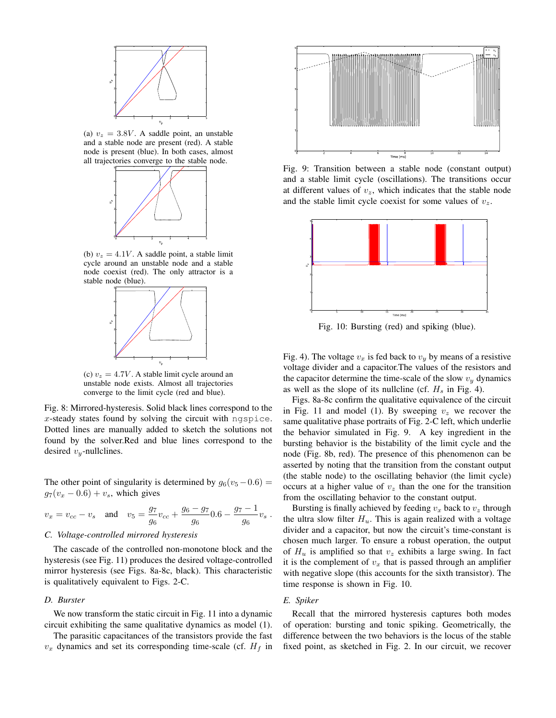

(a)  $v_z = 3.8V$ . A saddle point, an unstable and a stable node are present (red). A stable node is present (blue). In both cases, almost all trajectories converge to the stable node.



(b)  $v_z = 4.1V$ . A saddle point, a stable limit cycle around an unstable node and a stable node coexist (red). The only attractor is a stable node (blue).



(c)  $v_z = 4.7V$ . A stable limit cycle around an unstable node exists. Almost all trajectories converge to the limit cycle (red and blue).

Fig. 8: Mirrored-hysteresis. Solid black lines correspond to the  $x$ -steady states found by solving the circuit with ngspice. Dotted lines are manually added to sketch the solutions not found by the solver.Red and blue lines correspond to the desired  $v_y$ -nullclines.

The other point of singularity is determined by  $g_6(v_5-0.6)$  =  $g_7(v_x - 0.6) + v_s$ , which gives

$$
v_x = v_{cc} - v_s
$$
 and  $v_5 = \frac{g_7}{g_6}v_{cc} + \frac{g_6 - g_7}{g_6}0.6 - \frac{g_7 - 1}{g_6}v_s$ .

#### *C. Voltage-controlled mirrored hysteresis*

The cascade of the controlled non-monotone block and the hysteresis (see Fig. 11) produces the desired voltage-controlled mirror hysteresis (see Figs. 8a-8c, black). This characteristic is qualitatively equivalent to Figs. 2-C.

## *D. Burster*

We now transform the static circuit in Fig. 11 into a dynamic circuit exhibiting the same qualitative dynamics as model (1).

The parasitic capacitances of the transistors provide the fast  $v_x$  dynamics and set its corresponding time-scale (cf.  $H_f$  in



Fig. 9: Transition between a stable node (constant output) and a stable limit cycle (oscillations). The transitions occur at different values of  $v_z$ , which indicates that the stable node and the stable limit cycle coexist for some values of  $v_z$ .



Fig. 10: Bursting (red) and spiking (blue).

Fig. 4). The voltage  $v_x$  is fed back to  $v_y$  by means of a resistive voltage divider and a capacitor.The values of the resistors and the capacitor determine the time-scale of the slow  $v_y$  dynamics as well as the slope of its nullcline (cf.  $H_s$  in Fig. 4).

Figs. 8a-8c confirm the qualitative equivalence of the circuit in Fig. 11 and model (1). By sweeping  $v<sub>z</sub>$  we recover the same qualitative phase portraits of Fig. 2-C left, which underlie the behavior simulated in Fig. 9. A key ingredient in the bursting behavior is the bistability of the limit cycle and the node (Fig. 8b, red). The presence of this phenomenon can be asserted by noting that the transition from the constant output (the stable node) to the oscillating behavior (the limit cycle) occurs at a higher value of  $v<sub>z</sub>$  than the one for the transition from the oscillating behavior to the constant output.

Bursting is finally achieved by feeding  $v_x$  back to  $v_z$  through the ultra slow filter  $H_u$ . This is again realized with a voltage divider and a capacitor, but now the circuit's time-constant is chosen much larger. To ensure a robust operation, the output of  $H_u$  is amplified so that  $v_z$  exhibits a large swing. In fact it is the complement of  $v_x$  that is passed through an amplifier with negative slope (this accounts for the sixth transistor). The time response is shown in Fig. 10.

#### *E. Spiker*

Recall that the mirrored hysteresis captures both modes of operation: bursting and tonic spiking. Geometrically, the difference between the two behaviors is the locus of the stable fixed point, as sketched in Fig. 2. In our circuit, we recover